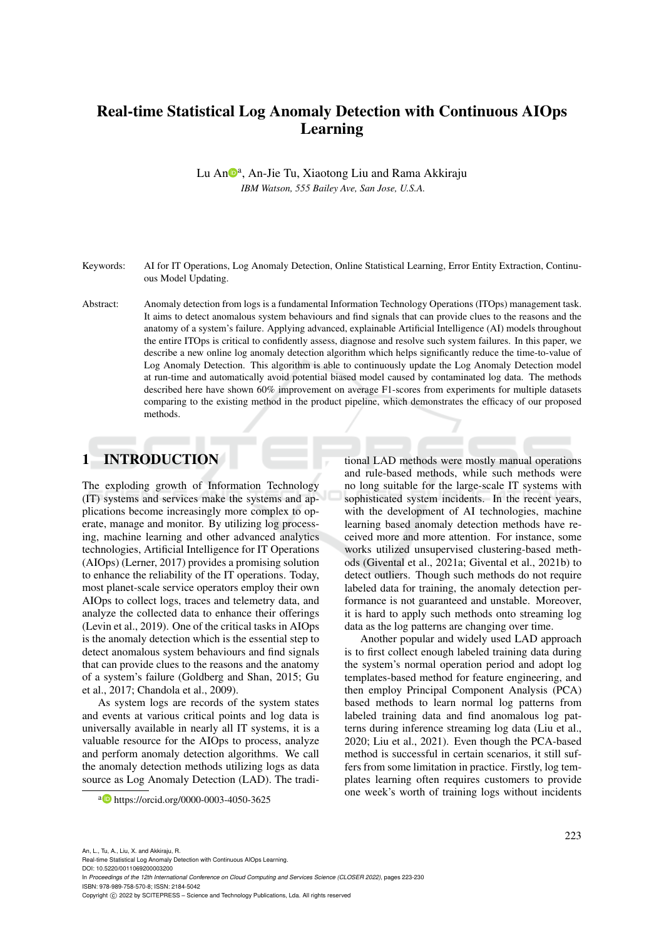# Real-time Statistical Log Anomaly Detection with Continuous AIOps Learning

Lu An<sup>®a</sup>, An-Jie Tu, Xiaotong Liu and Rama Akkiraju *IBM Watson, 555 Bailey Ave, San Jose, U.S.A.*

- Keywords: AI for IT Operations, Log Anomaly Detection, Online Statistical Learning, Error Entity Extraction, Continuous Model Updating.
- Abstract: Anomaly detection from logs is a fundamental Information Technology Operations (ITOps) management task. It aims to detect anomalous system behaviours and find signals that can provide clues to the reasons and the anatomy of a system's failure. Applying advanced, explainable Artificial Intelligence (AI) models throughout the entire ITOps is critical to confidently assess, diagnose and resolve such system failures. In this paper, we describe a new online log anomaly detection algorithm which helps significantly reduce the time-to-value of Log Anomaly Detection. This algorithm is able to continuously update the Log Anomaly Detection model at run-time and automatically avoid potential biased model caused by contaminated log data. The methods described here have shown 60% improvement on average F1-scores from experiments for multiple datasets comparing to the existing method in the product pipeline, which demonstrates the efficacy of our proposed methods.

## 1 INTRODUCTION

The exploding growth of Information Technology (IT) systems and services make the systems and applications become increasingly more complex to operate, manage and monitor. By utilizing log processing, machine learning and other advanced analytics technologies, Artificial Intelligence for IT Operations (AIOps) (Lerner, 2017) provides a promising solution to enhance the reliability of the IT operations. Today, most planet-scale service operators employ their own AIOps to collect logs, traces and telemetry data, and analyze the collected data to enhance their offerings (Levin et al., 2019). One of the critical tasks in AIOps is the anomaly detection which is the essential step to detect anomalous system behaviours and find signals that can provide clues to the reasons and the anatomy of a system's failure (Goldberg and Shan, 2015; Gu et al., 2017; Chandola et al., 2009).

As system logs are records of the system states and events at various critical points and log data is universally available in nearly all IT systems, it is a valuable resource for the AIOps to process, analyze and perform anomaly detection algorithms. We call the anomaly detection methods utilizing logs as data source as Log Anomaly Detection (LAD). The tradi-

tional LAD methods were mostly manual operations and rule-based methods, while such methods were no long suitable for the large-scale IT systems with sophisticated system incidents. In the recent years, with the development of AI technologies, machine learning based anomaly detection methods have received more and more attention. For instance, some works utilized unsupervised clustering-based methods (Givental et al., 2021a; Givental et al., 2021b) to detect outliers. Though such methods do not require labeled data for training, the anomaly detection performance is not guaranteed and unstable. Moreover, it is hard to apply such methods onto streaming log data as the log patterns are changing over time.

Another popular and widely used LAD approach is to first collect enough labeled training data during the system's normal operation period and adopt log templates-based method for feature engineering, and then employ Principal Component Analysis (PCA) based methods to learn normal log patterns from labeled training data and find anomalous log patterns during inference streaming log data (Liu et al., 2020; Liu et al., 2021). Even though the PCA-based method is successful in certain scenarios, it still suffers from some limitation in practice. Firstly, log templates learning often requires customers to provide one week's worth of training logs without incidents

a https://orcid.org/0000-0003-4050-3625

An, L., Tu, A., Liu, X. and Akkiraju, R.

Real-time Statistical Log Anomaly Detection with Continuous AIOps Learning. DOI: 10.5220/0011069200003200 In *Proceedings of the 12th International Conference on Cloud Computing and Services Science (CLOSER 2022)*, pages 223-230 ISBN: 978-989-758-570-8; ISSN: 2184-5042 Copyright (C) 2022 by SCITEPRESS - Science and Technology Publications, Lda. All rights reserved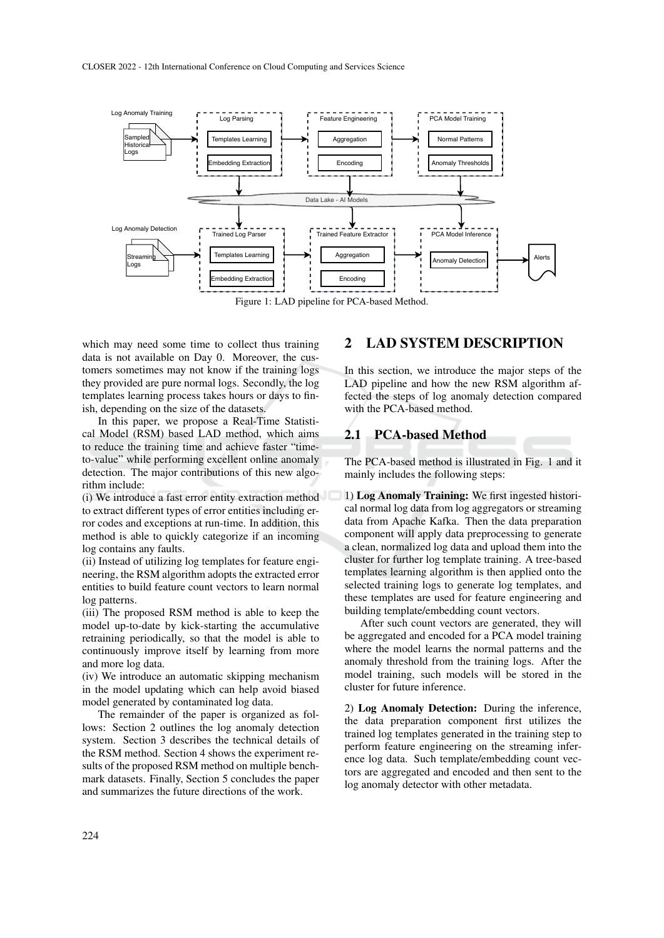

Figure 1: LAD pipeline for PCA-based Method.

which may need some time to collect thus training data is not available on Day 0. Moreover, the customers sometimes may not know if the training logs they provided are pure normal logs. Secondly, the log templates learning process takes hours or days to finish, depending on the size of the datasets.

In this paper, we propose a Real-Time Statistical Model (RSM) based LAD method, which aims to reduce the training time and achieve faster "timeto-value" while performing excellent online anomaly detection. The major contributions of this new algorithm include:

(i) We introduce a fast error entity extraction method to extract different types of error entities including error codes and exceptions at run-time. In addition, this method is able to quickly categorize if an incoming log contains any faults.

(ii) Instead of utilizing log templates for feature engineering, the RSM algorithm adopts the extracted error entities to build feature count vectors to learn normal log patterns.

(iii) The proposed RSM method is able to keep the model up-to-date by kick-starting the accumulative retraining periodically, so that the model is able to continuously improve itself by learning from more and more log data.

(iv) We introduce an automatic skipping mechanism in the model updating which can help avoid biased model generated by contaminated log data.

The remainder of the paper is organized as follows: Section 2 outlines the log anomaly detection system. Section 3 describes the technical details of the RSM method. Section 4 shows the experiment results of the proposed RSM method on multiple benchmark datasets. Finally, Section 5 concludes the paper and summarizes the future directions of the work.

## 2 LAD SYSTEM DESCRIPTION

In this section, we introduce the major steps of the LAD pipeline and how the new RSM algorithm affected the steps of log anomaly detection compared with the PCA-based method.

## 2.1 PCA-based Method

The PCA-based method is illustrated in Fig. 1 and it mainly includes the following steps:

1) Log Anomaly Training: We first ingested historical normal log data from log aggregators or streaming data from Apache Kafka. Then the data preparation component will apply data preprocessing to generate a clean, normalized log data and upload them into the cluster for further log template training. A tree-based templates learning algorithm is then applied onto the selected training logs to generate log templates, and these templates are used for feature engineering and building template/embedding count vectors.

After such count vectors are generated, they will be aggregated and encoded for a PCA model training where the model learns the normal patterns and the anomaly threshold from the training logs. After the model training, such models will be stored in the cluster for future inference.

2) Log Anomaly Detection: During the inference, the data preparation component first utilizes the trained log templates generated in the training step to perform feature engineering on the streaming inference log data. Such template/embedding count vectors are aggregated and encoded and then sent to the log anomaly detector with other metadata.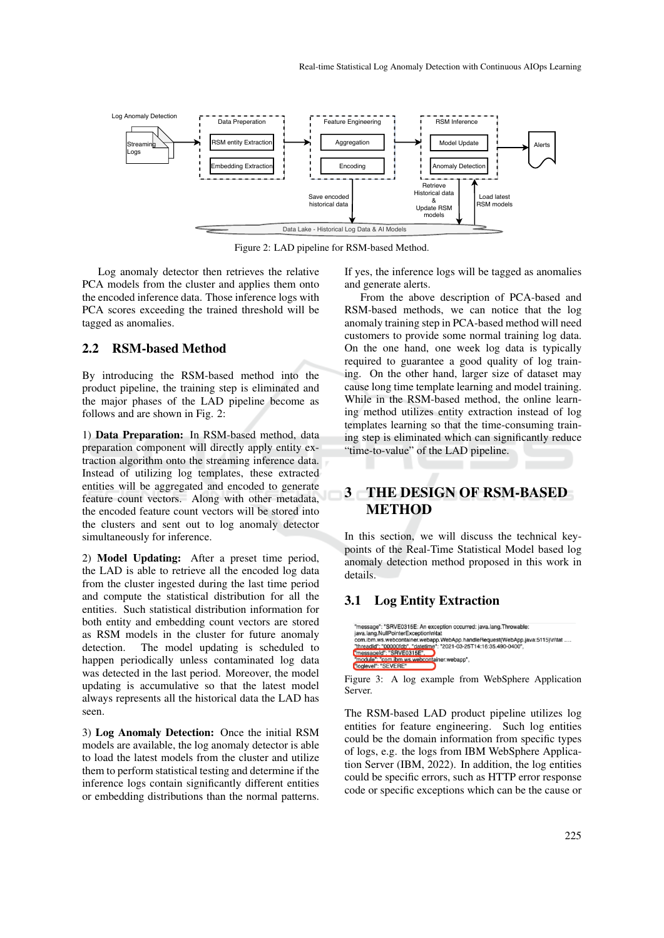

Figure 2: LAD pipeline for RSM-based Method.

Log anomaly detector then retrieves the relative PCA models from the cluster and applies them onto the encoded inference data. Those inference logs with PCA scores exceeding the trained threshold will be tagged as anomalies.

### 2.2 RSM-based Method

By introducing the RSM-based method into the product pipeline, the training step is eliminated and the major phases of the LAD pipeline become as follows and are shown in Fig. 2:

1) Data Preparation: In RSM-based method, data preparation component will directly apply entity extraction algorithm onto the streaming inference data. Instead of utilizing log templates, these extracted entities will be aggregated and encoded to generate feature count vectors. Along with other metadata, the encoded feature count vectors will be stored into the clusters and sent out to log anomaly detector simultaneously for inference.

2) Model Updating: After a preset time period, the LAD is able to retrieve all the encoded log data from the cluster ingested during the last time period and compute the statistical distribution for all the entities. Such statistical distribution information for both entity and embedding count vectors are stored as RSM models in the cluster for future anomaly detection. The model updating is scheduled to happen periodically unless contaminated log data was detected in the last period. Moreover, the model updating is accumulative so that the latest model always represents all the historical data the LAD has seen.

3) Log Anomaly Detection: Once the initial RSM models are available, the log anomaly detector is able to load the latest models from the cluster and utilize them to perform statistical testing and determine if the inference logs contain significantly different entities or embedding distributions than the normal patterns.

If yes, the inference logs will be tagged as anomalies and generate alerts.

From the above description of PCA-based and RSM-based methods, we can notice that the log anomaly training step in PCA-based method will need customers to provide some normal training log data. On the one hand, one week log data is typically required to guarantee a good quality of log training. On the other hand, larger size of dataset may cause long time template learning and model training. While in the RSM-based method, the online learning method utilizes entity extraction instead of log templates learning so that the time-consuming training step is eliminated which can significantly reduce "time-to-value" of the LAD pipeline.

## 3 THE DESIGN OF RSM-BASED **METHOD**

In this section, we will discuss the technical keypoints of the Real-Time Statistical Model based log anomaly detection method proposed in this work in details.

### 3.1 Log Entity Extraction



Figure 3: A log example from WebSphere Application Server.

The RSM-based LAD product pipeline utilizes log entities for feature engineering. Such log entities could be the domain information from specific types of logs, e.g. the logs from IBM WebSphere Application Server (IBM, 2022). In addition, the log entities could be specific errors, such as HTTP error response code or specific exceptions which can be the cause or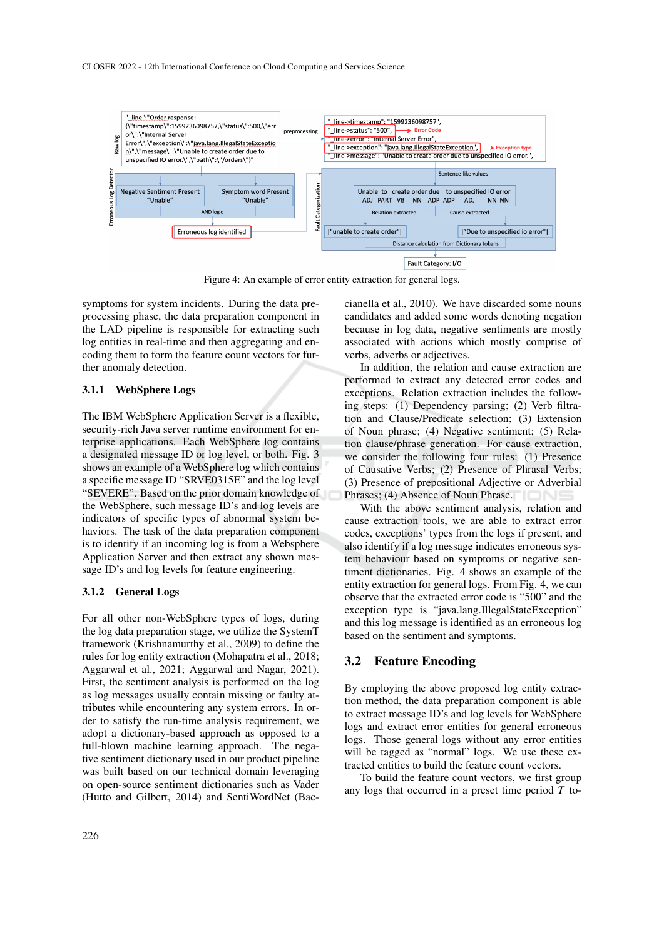

Figure 4: An example of error entity extraction for general logs.

symptoms for system incidents. During the data preprocessing phase, the data preparation component in the LAD pipeline is responsible for extracting such log entities in real-time and then aggregating and encoding them to form the feature count vectors for further anomaly detection.

#### 3.1.1 WebSphere Logs

The IBM WebSphere Application Server is a flexible, security-rich Java server runtime environment for enterprise applications. Each WebSphere log contains a designated message ID or log level, or both. Fig. 3 shows an example of a WebSphere log which contains a specific message ID "SRVE0315E" and the log level "SEVERE". Based on the prior domain knowledge of the WebSphere, such message ID's and log levels are indicators of specific types of abnormal system behaviors. The task of the data preparation component is to identify if an incoming log is from a Websphere Application Server and then extract any shown message ID's and log levels for feature engineering.

#### 3.1.2 General Logs

For all other non-WebSphere types of logs, during the log data preparation stage, we utilize the SystemT framework (Krishnamurthy et al., 2009) to define the rules for log entity extraction (Mohapatra et al., 2018; Aggarwal et al., 2021; Aggarwal and Nagar, 2021). First, the sentiment analysis is performed on the log as log messages usually contain missing or faulty attributes while encountering any system errors. In order to satisfy the run-time analysis requirement, we adopt a dictionary-based approach as opposed to a full-blown machine learning approach. The negative sentiment dictionary used in our product pipeline was built based on our technical domain leveraging on open-source sentiment dictionaries such as Vader (Hutto and Gilbert, 2014) and SentiWordNet (Baccianella et al., 2010). We have discarded some nouns candidates and added some words denoting negation because in log data, negative sentiments are mostly associated with actions which mostly comprise of verbs, adverbs or adjectives.

In addition, the relation and cause extraction are performed to extract any detected error codes and exceptions. Relation extraction includes the following steps: (1) Dependency parsing; (2) Verb filtration and Clause/Predicate selection; (3) Extension of Noun phrase; (4) Negative sentiment; (5) Relation clause/phrase generation. For cause extraction, we consider the following four rules: (1) Presence of Causative Verbs; (2) Presence of Phrasal Verbs; (3) Presence of prepositional Adjective or Adverbial Phrases; (4) Absence of Noun Phrase.

With the above sentiment analysis, relation and cause extraction tools, we are able to extract error codes, exceptions' types from the logs if present, and also identify if a log message indicates erroneous system behaviour based on symptoms or negative sentiment dictionaries. Fig. 4 shows an example of the entity extraction for general logs. From Fig. 4, we can observe that the extracted error code is "500" and the exception type is "java.lang.IllegalStateException" and this log message is identified as an erroneous log based on the sentiment and symptoms.

#### 3.2 Feature Encoding

By employing the above proposed log entity extraction method, the data preparation component is able to extract message ID's and log levels for WebSphere logs and extract error entities for general erroneous logs. Those general logs without any error entities will be tagged as "normal" logs. We use these extracted entities to build the feature count vectors.

To build the feature count vectors, we first group any logs that occurred in a preset time period *T* to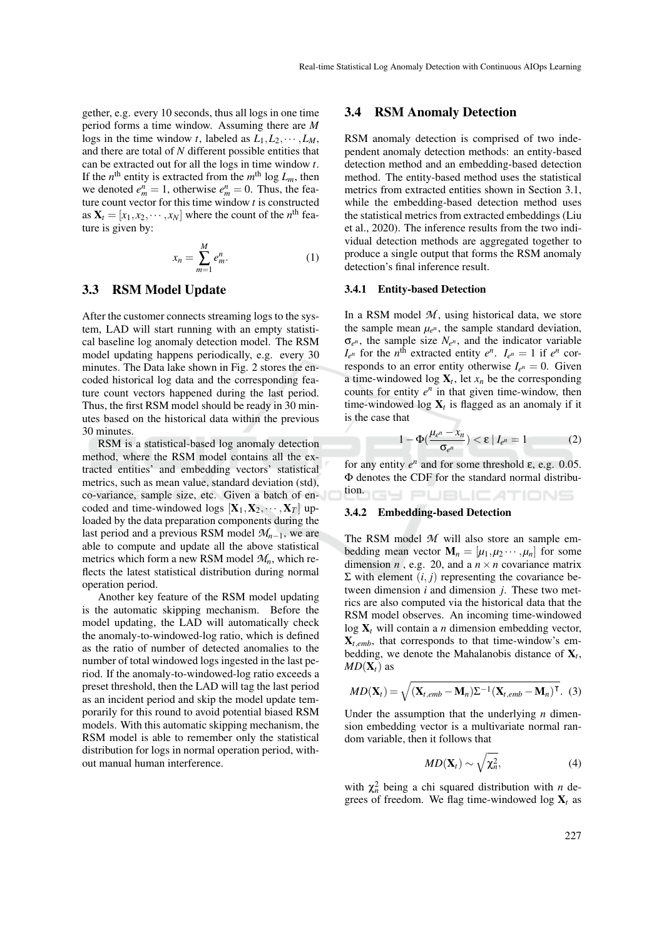gether, e.g. every 10 seconds, thus all logs in one time period forms a time window. Assuming there are *M* logs in the time window *t*, labeled as  $L_1, L_2, \cdots, L_M$ , and there are total of *N* different possible entities that can be extracted out for all the logs in time window *t*. If the  $n^{\text{th}}$  entity is extracted from the  $m^{\text{th}}$  log  $L_m$ , then we denoted  $e_m^n = 1$ , otherwise  $e_m^n = 0$ . Thus, the feature count vector for this time window *t* is constructed as  $X_t = [x_1, x_2, \dots, x_N]$  where the count of the *n*<sup>th</sup> feature is given by:

$$
x_n = \sum_{m=1}^{M} e_m^n.
$$
 (1)

### 3.3 RSM Model Update

After the customer connects streaming logs to the system, LAD will start running with an empty statistical baseline log anomaly detection model. The RSM model updating happens periodically, e.g. every 30 minutes. The Data lake shown in Fig. 2 stores the encoded historical log data and the corresponding feature count vectors happened during the last period. Thus, the first RSM model should be ready in 30 minutes based on the historical data within the previous 30 minutes.

RSM is a statistical-based log anomaly detection method, where the RSM model contains all the extracted entities' and embedding vectors' statistical metrics, such as mean value, standard deviation (std), co-variance, sample size, etc. Given a batch of encoded and time-windowed logs  $[X_1, X_2, \cdots, X_T]$  uploaded by the data preparation components during the last period and a previous RSM model  $M_{n-1}$ , we are able to compute and update all the above statistical metrics which form a new RSM model *Mn*, which reflects the latest statistical distribution during normal operation period.

Another key feature of the RSM model updating is the automatic skipping mechanism. Before the model updating, the LAD will automatically check the anomaly-to-windowed-log ratio, which is defined as the ratio of number of detected anomalies to the number of total windowed logs ingested in the last period. If the anomaly-to-windowed-log ratio exceeds a preset threshold, then the LAD will tag the last period as an incident period and skip the model update temporarily for this round to avoid potential biased RSM models. With this automatic skipping mechanism, the RSM model is able to remember only the statistical distribution for logs in normal operation period, without manual human interference.

#### 3.4 RSM Anomaly Detection

RSM anomaly detection is comprised of two independent anomaly detection methods: an entity-based detection method and an embedding-based detection method. The entity-based method uses the statistical metrics from extracted entities shown in Section 3.1, while the embedding-based detection method uses the statistical metrics from extracted embeddings (Liu et al., 2020). The inference results from the two individual detection methods are aggregated together to produce a single output that forms the RSM anomaly detection's final inference result.

#### 3.4.1 Entity-based Detection

In a RSM model  $M$ , using historical data, we store the sample mean  $\mu_{e^n}$ , the sample standard deviation,  $\sigma_{e^n}$ , the sample size  $N_{e^n}$ , and the indicator variable  $I_{e^n}$  for the *n*<sup>th</sup> extracted entity  $e^n$ .  $I_{e^n} = 1$  if  $e^n$  corresponds to an error entity otherwise  $I_{e^n} = 0$ . Given a time-windowed  $\log X_t$ , let  $x_n$  be the corresponding counts for entity  $e^n$  in that given time-window, then time-windowed  $log X_t$  is flagged as an anomaly if it is the case that

$$
1 - \Phi\left(\frac{\mu_{e^n} - x_n}{\sigma_{e^n}}\right) < \varepsilon \mid I_{e^n} = 1 \tag{2}
$$

for any entity  $e^n$  and for some threshold ε, e.g. 0.05. Φ denotes the CDF for the standard normal distribution. Y PUBLIC*A*TIONS

#### 3.4.2 Embedding-based Detection

The RSM model *M* will also store an sample embedding mean vector  $\mathbf{M}_n = [\mu_1, \mu_2 \cdots, \mu_n]$  for some dimension  $n$ , e.g. 20, and a  $n \times n$  covariance matrix  $Σ$  with element  $(i, j)$  representing the covariance between dimension *i* and dimension *j*. These two metrics are also computed via the historical data that the RSM model observes. An incoming time-windowed log X*<sup>t</sup>* will contain a *n* dimension embedding vector,  $X_t$ <sub>emb</sub>, that corresponds to that time-window's embedding, we denote the Mahalanobis distance of  $X_t$ ,  $MD(X_t)$  as

$$
MD(\mathbf{X}_t) = \sqrt{(\mathbf{X}_{t,emb} - \mathbf{M}_n)\Sigma^{-1}(\mathbf{X}_{t,emb} - \mathbf{M}_n)^{\mathsf{T}}}. (3)
$$

Under the assumption that the underlying *n* dimension embedding vector is a multivariate normal random variable, then it follows that

$$
MD(\mathbf{X}_t) \sim \sqrt{\chi_n^2},\tag{4}
$$

with  $\chi_n^2$  being a chi squared distribution with *n* degrees of freedom. We flag time-windowed  $\log X_t$  as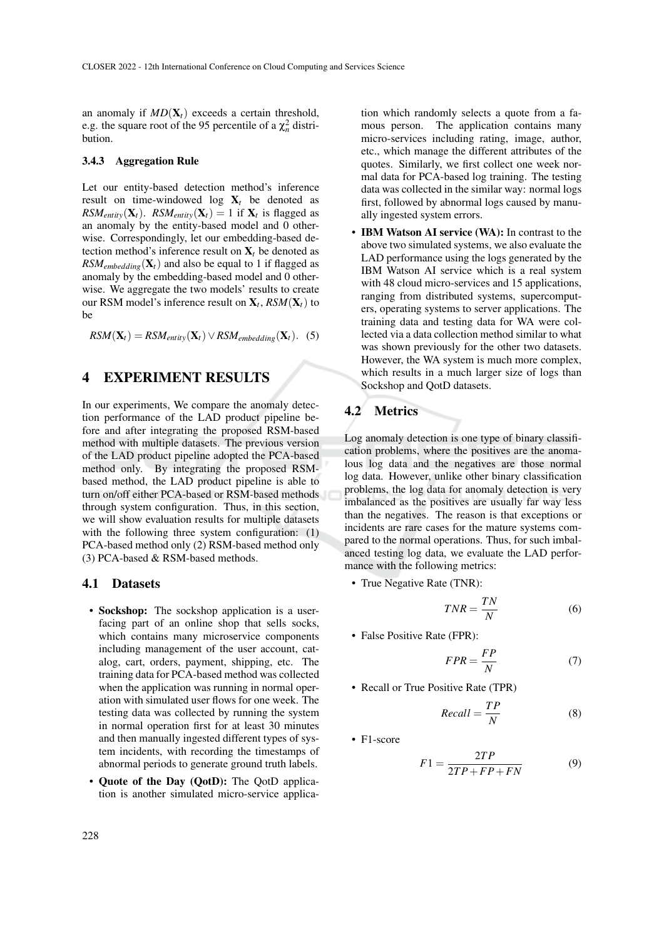an anomaly if  $MD(X_t)$  exceeds a certain threshold, e.g. the square root of the 95 percentile of a  $\chi_n^2$  distribution.

#### 3.4.3 Aggregation Rule

Let our entity-based detection method's inference result on time-windowed log  $X_t$  be denoted as  $RSM_{entity}(\mathbf{X}_t)$ .  $RSM_{entity}(\mathbf{X}_t) = 1$  if  $\mathbf{X}_t$  is flagged as an anomaly by the entity-based model and 0 otherwise. Correspondingly, let our embedding-based detection method's inference result on  $X_t$  be denoted as  $RSM_{embedding}(\mathbf{X}_t)$  and also be equal to 1 if flagged as anomaly by the embedding-based model and 0 otherwise. We aggregate the two models' results to create our RSM model's inference result on X*<sup>t</sup>* , *RSM*(X*t*) to be

 $RSM(\mathbf{X}_t) = RSM_{entity}(\mathbf{X}_t) \vee RSM_{embedding}(\mathbf{X}_t).$  (5)

## 4 EXPERIMENT RESULTS

In our experiments, We compare the anomaly detection performance of the LAD product pipeline before and after integrating the proposed RSM-based method with multiple datasets. The previous version of the LAD product pipeline adopted the PCA-based method only. By integrating the proposed RSMbased method, the LAD product pipeline is able to turn on/off either PCA-based or RSM-based methods through system configuration. Thus, in this section, we will show evaluation results for multiple datasets with the following three system configuration: (1) PCA-based method only (2) RSM-based method only (3) PCA-based & RSM-based methods.

#### 4.1 Datasets

- Sockshop: The sockshop application is a userfacing part of an online shop that sells socks, which contains many microservice components including management of the user account, catalog, cart, orders, payment, shipping, etc. The training data for PCA-based method was collected when the application was running in normal operation with simulated user flows for one week. The testing data was collected by running the system in normal operation first for at least 30 minutes and then manually ingested different types of system incidents, with recording the timestamps of abnormal periods to generate ground truth labels.
- Quote of the Day (QotD): The QotD application is another simulated micro-service applica-

tion which randomly selects a quote from a famous person. The application contains many micro-services including rating, image, author, etc., which manage the different attributes of the quotes. Similarly, we first collect one week normal data for PCA-based log training. The testing data was collected in the similar way: normal logs first, followed by abnormal logs caused by manually ingested system errors.

• IBM Watson AI service (WA): In contrast to the above two simulated systems, we also evaluate the LAD performance using the logs generated by the IBM Watson AI service which is a real system with 48 cloud micro-services and 15 applications, ranging from distributed systems, supercomputers, operating systems to server applications. The training data and testing data for WA were collected via a data collection method similar to what was shown previously for the other two datasets. However, the WA system is much more complex, which results in a much larger size of logs than Sockshop and QotD datasets.

## 4.2 Metrics

Log anomaly detection is one type of binary classification problems, where the positives are the anomalous log data and the negatives are those normal log data. However, unlike other binary classification problems, the log data for anomaly detection is very imbalanced as the positives are usually far way less than the negatives. The reason is that exceptions or incidents are rare cases for the mature systems compared to the normal operations. Thus, for such imbalanced testing log data, we evaluate the LAD performance with the following metrics:

• True Negative Rate (TNR):

$$
TNR = \frac{TN}{N} \tag{6}
$$

• False Positive Rate (FPR):

$$
FPR = \frac{FP}{N} \tag{7}
$$

• Recall or True Positive Rate (TPR)

$$
Recall = \frac{TP}{N}
$$
 (8)

• F1-score

$$
F1 = \frac{2TP}{2TP + FP + FN} \tag{9}
$$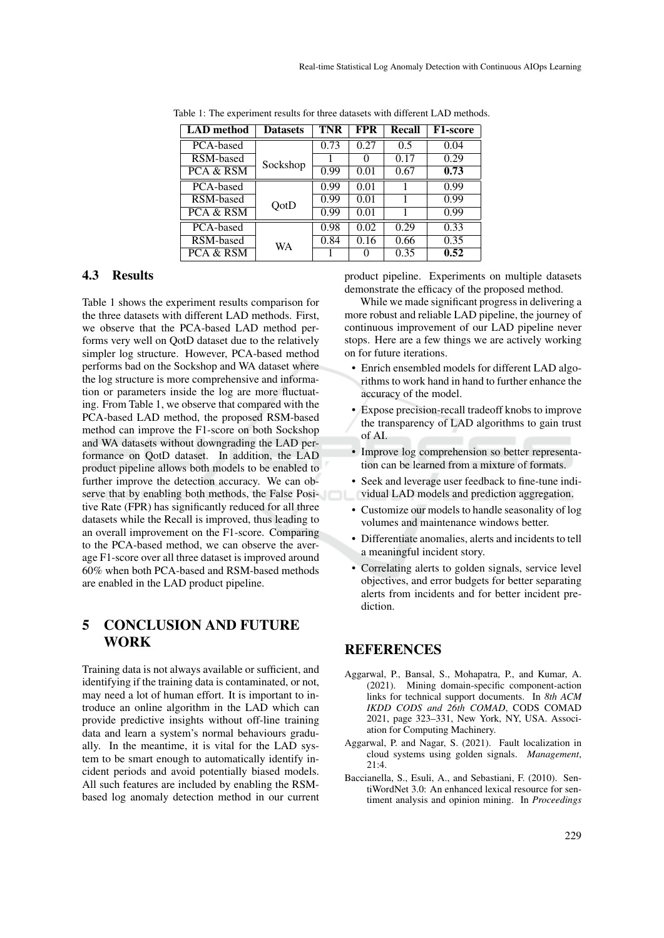| <b>LAD</b> method | <b>Datasets</b> | TNR  | <b>FPR</b> | Recall | <b>F1-score</b> |
|-------------------|-----------------|------|------------|--------|-----------------|
| PCA-based         |                 | 0.73 | 0.27       | 0.5    | 0.04            |
| RSM-based         | Sockshop        |      | 0          | 0.17   | 0.29            |
| PCA & RSM         |                 | 0.99 | 0.01       | 0.67   | 0.73            |
| PCA-based         |                 | 0.99 | 0.01       |        | 0.99            |
| RSM-based         | QotD            | 0.99 | 0.01       |        | 0.99            |
| PCA & RSM         |                 | 0.99 | 0.01       |        | 0.99            |
| PCA-based         |                 | 0.98 | 0.02       | 0.29   | 0.33            |
| RSM-based         | WA              | 0.84 | 0.16       | 0.66   | 0.35            |
| PCA & RSM         |                 |      |            | 0.35   | 0.52            |

Table 1: The experiment results for three datasets with different LAD methods.

### 4.3 Results

Table 1 shows the experiment results comparison for the three datasets with different LAD methods. First, we observe that the PCA-based LAD method performs very well on QotD dataset due to the relatively simpler log structure. However, PCA-based method performs bad on the Sockshop and WA dataset where the log structure is more comprehensive and information or parameters inside the log are more fluctuating. From Table 1, we observe that compared with the PCA-based LAD method, the proposed RSM-based method can improve the F1-score on both Sockshop and WA datasets without downgrading the LAD performance on QotD dataset. In addition, the LAD product pipeline allows both models to be enabled to further improve the detection accuracy. We can observe that by enabling both methods, the False Positive Rate (FPR) has significantly reduced for all three datasets while the Recall is improved, thus leading to an overall improvement on the F1-score. Comparing to the PCA-based method, we can observe the average F1-score over all three dataset is improved around 60% when both PCA-based and RSM-based methods are enabled in the LAD product pipeline.

## 5 CONCLUSION AND FUTURE WORK

Training data is not always available or sufficient, and identifying if the training data is contaminated, or not, may need a lot of human effort. It is important to introduce an online algorithm in the LAD which can provide predictive insights without off-line training data and learn a system's normal behaviours gradually. In the meantime, it is vital for the LAD system to be smart enough to automatically identify incident periods and avoid potentially biased models. All such features are included by enabling the RSMbased log anomaly detection method in our current product pipeline. Experiments on multiple datasets demonstrate the efficacy of the proposed method.

While we made significant progress in delivering a more robust and reliable LAD pipeline, the journey of continuous improvement of our LAD pipeline never stops. Here are a few things we are actively working on for future iterations.

- Enrich ensembled models for different LAD algorithms to work hand in hand to further enhance the accuracy of the model.
- Expose precision-recall tradeoff knobs to improve the transparency of LAD algorithms to gain trust of AI.
- Improve log comprehension so better representation can be learned from a mixture of formats.
- Seek and leverage user feedback to fine-tune individual LAD models and prediction aggregation.
- Customize our models to handle seasonality of log volumes and maintenance windows better.
- Differentiate anomalies, alerts and incidents to tell a meaningful incident story.
- Correlating alerts to golden signals, service level objectives, and error budgets for better separating alerts from incidents and for better incident prediction.

## **REFERENCES**

- Aggarwal, P., Bansal, S., Mohapatra, P., and Kumar, A. (2021). Mining domain-specific component-action links for technical support documents. In *8th ACM IKDD CODS and 26th COMAD*, CODS COMAD 2021, page 323–331, New York, NY, USA. Association for Computing Machinery.
- Aggarwal, P. and Nagar, S. (2021). Fault localization in cloud systems using golden signals. *Management*,  $21.4$
- Baccianella, S., Esuli, A., and Sebastiani, F. (2010). SentiWordNet 3.0: An enhanced lexical resource for sentiment analysis and opinion mining. In *Proceedings*